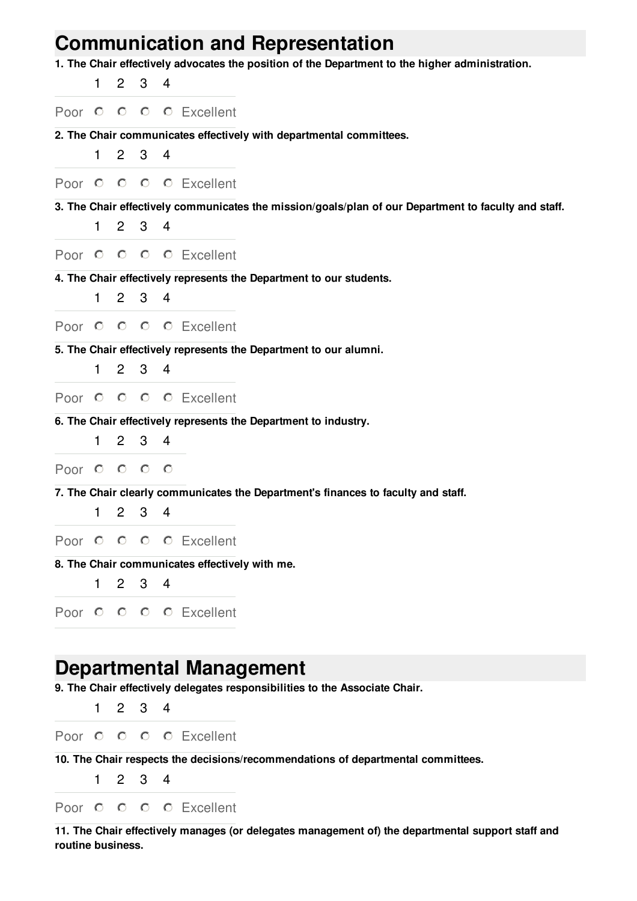## **Communication and Representation**

**1. The Chair effectively advocates the position of the Department to the higher administration.**

|              | 1  | $\overline{2}$ | 3                   | 4              |                                                                                                      |
|--------------|----|----------------|---------------------|----------------|------------------------------------------------------------------------------------------------------|
|              |    |                |                     |                | Poor O O O O Excellent                                                                               |
|              |    |                |                     |                | 2. The Chair communicates effectively with departmental committees.                                  |
|              | 1. | $\mathbf{2}$   | 3                   | 4              |                                                                                                      |
|              |    |                |                     |                | Poor O O O O Excellent                                                                               |
|              |    |                |                     |                | 3. The Chair effectively communicates the mission/goals/plan of our Department to faculty and staff. |
|              | 1  | $2^{\circ}$    | 3 <sup>7</sup>      | 4              |                                                                                                      |
|              |    |                |                     |                | Poor O O O O Excellent                                                                               |
|              |    |                |                     |                | 4. The Chair effectively represents the Department to our students.                                  |
|              | 1  | $2^{\circ}$    | 3 <sub>4</sub>      |                |                                                                                                      |
|              |    |                |                     |                | Poor O O O O Excellent                                                                               |
|              | 1  |                | $2 \quad 3 \quad 4$ |                | 5. The Chair effectively represents the Department to our alumni.                                    |
|              |    |                |                     |                |                                                                                                      |
|              |    |                |                     |                | Poor O O O O Excellent                                                                               |
|              | 1  | $\mathbf{2}$   | 3 <sub>4</sub>      |                | 6. The Chair effectively represents the Department to industry.                                      |
| Poor $\circ$ |    | $\circ$        | $\circ$             | $\circ$        |                                                                                                      |
|              |    |                |                     |                | 7. The Chair clearly communicates the Department's finances to faculty and staff.                    |
|              | 1  | $\mathbf{2}$   | 3 <sub>4</sub>      |                |                                                                                                      |
| Poor $\circ$ |    |                |                     |                | O O O Excellent                                                                                      |
|              |    |                |                     |                | 8. The Chair communicates effectively with me.                                                       |
|              | 1  |                | $2 \quad 3 \quad 4$ |                |                                                                                                      |
|              |    |                |                     |                | Poor O O O O Excellent                                                                               |
|              |    |                |                     |                |                                                                                                      |
|              |    |                |                     |                | Departmental Management                                                                              |
|              |    |                |                     |                | 9. The Chair effectively delegates responsibilities to the Associate Chair.                          |
|              | 1  | $2^{\circ}$    | 3 <sup>1</sup>      | $\overline{4}$ |                                                                                                      |

Poor O O O Excellent

**10. The Chair respects the decisions/recommendations of departmental committees.**

1 2 3 4

Poor O O O Excellent

**11. The Chair effectively manages (or delegates management of) the departmental support staff and routine business.**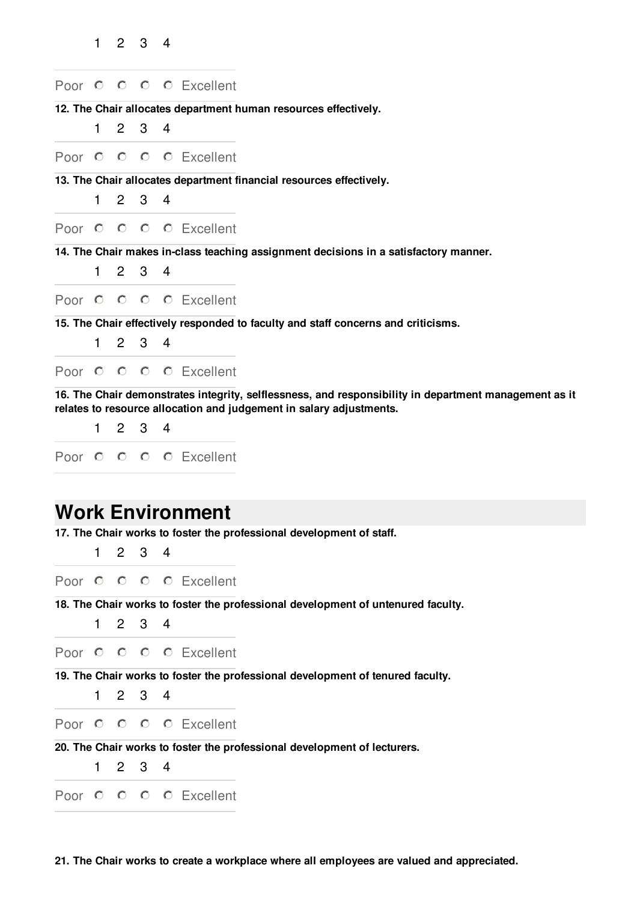|        | 1  | $\overline{2}$ | 3                   | 4              |                                                                                                                                                                              |
|--------|----|----------------|---------------------|----------------|------------------------------------------------------------------------------------------------------------------------------------------------------------------------------|
|        |    |                |                     |                | Poor O O O O Excellent                                                                                                                                                       |
|        |    |                |                     |                | 12. The Chair allocates department human resources effectively.                                                                                                              |
|        | 1  | $2^{\circ}$    | 3 <sup>1</sup>      | 4              |                                                                                                                                                                              |
|        |    |                |                     |                | Poor O O O O Excellent                                                                                                                                                       |
|        |    |                |                     |                | 13. The Chair allocates department financial resources effectively.                                                                                                          |
|        | 1. | $\mathbf{2}$   |                     | 3 <sub>4</sub> |                                                                                                                                                                              |
|        |    |                |                     |                | Poor O O O O Excellent                                                                                                                                                       |
|        |    |                |                     |                | 14. The Chair makes in-class teaching assignment decisions in a satisfactory manner.                                                                                         |
|        | 1. |                | $2 \quad 3 \quad 4$ |                |                                                                                                                                                                              |
|        |    |                |                     |                | Poor O O O O Excellent                                                                                                                                                       |
|        |    |                |                     |                | 15. The Chair effectively responded to faculty and staff concerns and criticisms.                                                                                            |
|        | 1. | $2^{\circ}$    |                     | 3 <sub>4</sub> |                                                                                                                                                                              |
|        |    |                |                     |                | Poor O O O O Excellent                                                                                                                                                       |
|        |    |                |                     |                | 16. The Chair demonstrates integrity, selflessness, and responsibility in department management as it<br>relates to resource allocation and judgement in salary adjustments. |
|        | 1  |                | $2 \quad 3 \quad 4$ |                |                                                                                                                                                                              |
| Poor O |    |                |                     |                | O O O Excellent                                                                                                                                                              |
|        |    |                |                     |                |                                                                                                                                                                              |
|        |    |                |                     |                | <b>Work Environment</b>                                                                                                                                                      |
|        |    |                |                     |                | 17. The Chair works to foster the professional development of staff.                                                                                                         |
|        | 1. | $2^{\circ}$    | 3                   | 4              |                                                                                                                                                                              |
|        |    |                |                     |                | Poor O O O O Excellent                                                                                                                                                       |
|        |    |                |                     |                | 18. The Chair works to foster the professional development of untenured faculty.                                                                                             |
|        | 1  | $\overline{2}$ | 3                   | 4              |                                                                                                                                                                              |
|        |    |                |                     |                | Poor O O O O Excellent                                                                                                                                                       |

**19. The Chair works to foster the professional development of tenured faculty.**

1 2 3 4

Poor O O O Excellent

**20. The Chair works to foster the professional development of lecturers.**

1 2 3 4

Poor O O O Excellent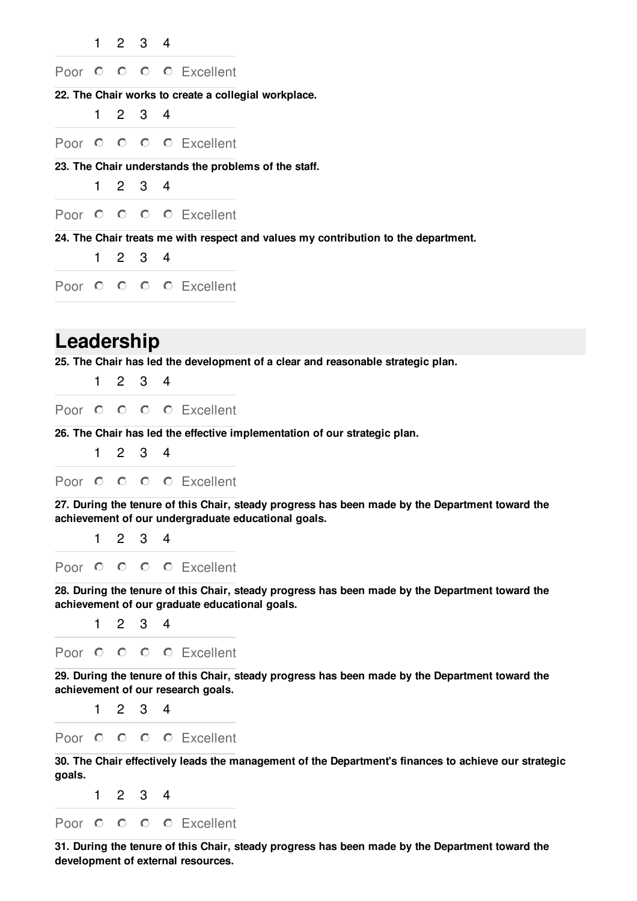|              | 1            | $\overline{2}$ | 3                   | $\overline{\phantom{0}}$ |                                                                                                                                                        |
|--------------|--------------|----------------|---------------------|--------------------------|--------------------------------------------------------------------------------------------------------------------------------------------------------|
| Poor $\circ$ |              | $\circ$        |                     |                          | O O Excellent                                                                                                                                          |
|              |              |                |                     |                          | 22. The Chair works to create a collegial workplace.                                                                                                   |
|              | 1            |                | $2 \quad 3$         | 4                        |                                                                                                                                                        |
| Poor $O$ $O$ |              |                |                     |                          | O O Excellent                                                                                                                                          |
|              |              |                |                     |                          | 23. The Chair understands the problems of the staff.                                                                                                   |
|              | 1            | $\mathbf{2}$   | 3                   | 4                        |                                                                                                                                                        |
|              |              |                |                     |                          | Poor O O O O Excellent                                                                                                                                 |
|              |              |                |                     |                          | 24. The Chair treats me with respect and values my contribution to the department.                                                                     |
|              | 1            | $\mathbf{2}$   | 3                   | 4                        |                                                                                                                                                        |
|              |              |                |                     |                          | Poor O O O O Excellent                                                                                                                                 |
|              |              |                |                     |                          |                                                                                                                                                        |
| Leadership   |              |                |                     |                          |                                                                                                                                                        |
|              |              |                |                     |                          | 25. The Chair has led the development of a clear and reasonable strategic plan.                                                                        |
|              | 1            |                | $2 \quad 3 \quad 4$ |                          |                                                                                                                                                        |
|              |              |                |                     |                          | Poor O O O O Excellent                                                                                                                                 |
|              | $\mathbf{1}$ |                |                     |                          | 26. The Chair has led the effective implementation of our strategic plan.                                                                              |
|              |              |                | $2 \quad 3 \quad 4$ |                          |                                                                                                                                                        |
|              |              |                |                     |                          | Poor O O O O Excellent                                                                                                                                 |
|              |              |                |                     |                          | 27. During the tenure of this Chair, steady progress has been made by the Department toward the<br>achievement of our undergraduate educational goals. |
|              | 1            | $\mathbf{2}$   | 3                   | 4                        |                                                                                                                                                        |
|              |              |                |                     |                          | Poor O O O O Excellent                                                                                                                                 |
|              |              |                |                     |                          | 28. During the tenure of this Chair, steady progress has been made by the Department toward the                                                        |
|              | $\mathbf{1}$ |                | $2 \quad 3 \quad 4$ |                          | achievement of our graduate educational goals.                                                                                                         |
|              |              |                |                     |                          |                                                                                                                                                        |
|              |              |                |                     |                          | Poor O O O O Excellent                                                                                                                                 |
|              |              |                |                     |                          | 29. During the tenure of this Chair, steady progress has been made by the Department toward the<br>achievement of our research goals.                  |
|              | 1.           |                | $2 \t3 \t4$         |                          |                                                                                                                                                        |
| Poor $O$ $O$ |              |                |                     |                          | O O Excellent                                                                                                                                          |
|              |              |                |                     |                          | 30. The Chair effectively leads the management of the Department's finances to achieve our strategic                                                   |
| goals.       | 1            |                | $2 \t3 \t4$         |                          |                                                                                                                                                        |
|              |              |                |                     |                          |                                                                                                                                                        |

Poor O O O Excellent

**31. During the tenure of this Chair, steady progress has been made by the Department toward the development of external resources.**